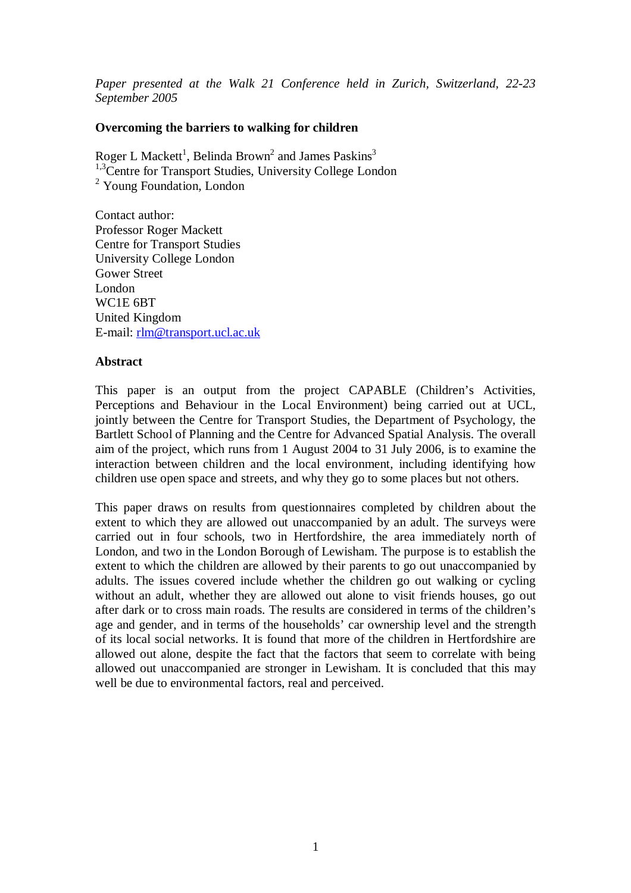*Paper presented at the Walk 21 Conference held in Zurich, Switzerland, 22-23 September 2005* 

#### **Overcoming the barriers to walking for children**

Roger L Mackett<sup>1</sup>, Belinda Brown<sup>2</sup> and James Paskins<sup>3</sup> <sup>1,3</sup>Centre for Transport Studies, University College London <sup>2</sup> Young Foundation, London

Contact author: Professor Roger Mackett Centre for Transport Studies University College London Gower Street London WC1E 6BT United Kingdom E-mail: rlm@transport.ucl.ac.uk

#### **Abstract**

This paper is an output from the project CAPABLE (Children's Activities, Perceptions and Behaviour in the Local Environment) being carried out at UCL, jointly between the Centre for Transport Studies, the Department of Psychology, the Bartlett School of Planning and the Centre for Advanced Spatial Analysis. The overall aim of the project, which runs from 1 August 2004 to 31 July 2006, is to examine the interaction between children and the local environment, including identifying how children use open space and streets, and why they go to some places but not others.

This paper draws on results from questionnaires completed by children about the extent to which they are allowed out unaccompanied by an adult. The surveys were carried out in four schools, two in Hertfordshire, the area immediately north of London, and two in the London Borough of Lewisham. The purpose is to establish the extent to which the children are allowed by their parents to go out unaccompanied by adults. The issues covered include whether the children go out walking or cycling without an adult, whether they are allowed out alone to visit friends houses, go out after dark or to cross main roads. The results are considered in terms of the children's age and gender, and in terms of the households' car ownership level and the strength of its local social networks. It is found that more of the children in Hertfordshire are allowed out alone, despite the fact that the factors that seem to correlate with being allowed out unaccompanied are stronger in Lewisham. It is concluded that this may well be due to environmental factors, real and perceived.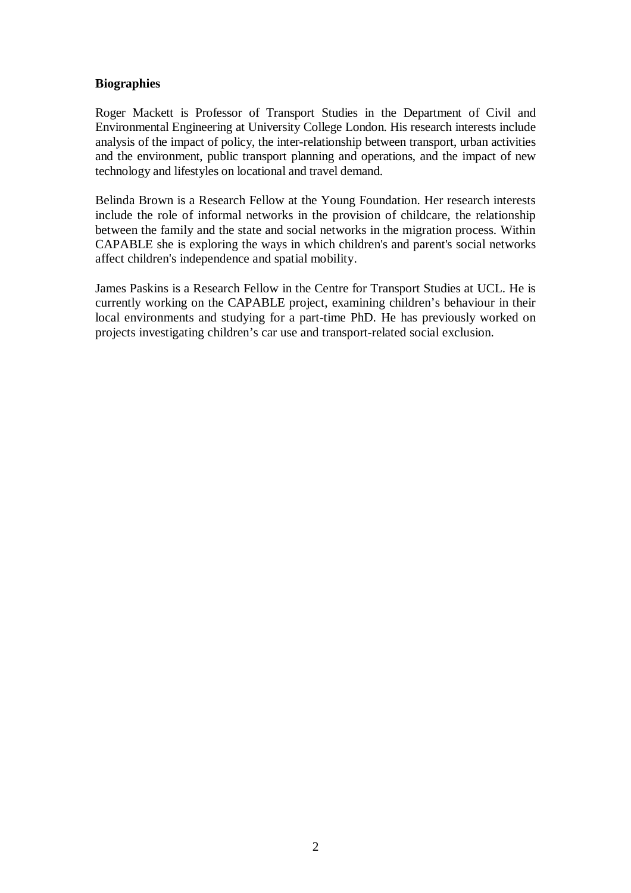## **Biographies**

Roger Mackett is Professor of Transport Studies in the Department of Civil and Environmental Engineering at University College London. His research interests include analysis of the impact of policy, the inter-relationship between transport, urban activities and the environment, public transport planning and operations, and the impact of new technology and lifestyles on locational and travel demand.

Belinda Brown is a Research Fellow at the Young Foundation. Her research interests include the role of informal networks in the provision of childcare, the relationship between the family and the state and social networks in the migration process. Within CAPABLE she is exploring the ways in which children's and parent's social networks affect children's independence and spatial mobility.

James Paskins is a Research Fellow in the Centre for Transport Studies at UCL. He is currently working on the CAPABLE project, examining children's behaviour in their local environments and studying for a part-time PhD. He has previously worked on projects investigating children's car use and transport-related social exclusion.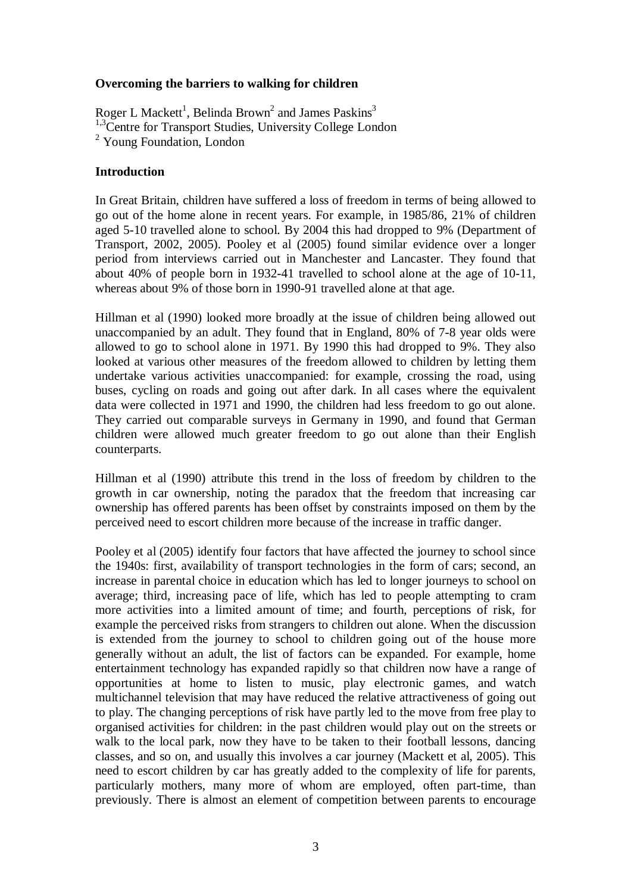#### **Overcoming the barriers to walking for children**

Roger L Mackett<sup>1</sup>, Belinda Brown<sup>2</sup> and James Paskins<sup>3</sup> <sup>1,3</sup>Centre for Transport Studies, University College London <sup>2</sup> Young Foundation, London

### **Introduction**

In Great Britain, children have suffered a loss of freedom in terms of being allowed to go out of the home alone in recent years. For example, in 1985/86, 21% of children aged 5-10 travelled alone to school. By 2004 this had dropped to 9% (Department of Transport, 2002, 2005). Pooley et al (2005) found similar evidence over a longer period from interviews carried out in Manchester and Lancaster. They found that about 40% of people born in 1932-41 travelled to school alone at the age of 10-11, whereas about 9% of those born in 1990-91 travelled alone at that age.

Hillman et al (1990) looked more broadly at the issue of children being allowed out unaccompanied by an adult. They found that in England, 80% of 7-8 year olds were allowed to go to school alone in 1971. By 1990 this had dropped to 9%. They also looked at various other measures of the freedom allowed to children by letting them undertake various activities unaccompanied: for example, crossing the road, using buses, cycling on roads and going out after dark. In all cases where the equivalent data were collected in 1971 and 1990, the children had less freedom to go out alone. They carried out comparable surveys in Germany in 1990, and found that German children were allowed much greater freedom to go out alone than their English counterparts.

Hillman et al (1990) attribute this trend in the loss of freedom by children to the growth in car ownership, noting the paradox that the freedom that increasing car ownership has offered parents has been offset by constraints imposed on them by the perceived need to escort children more because of the increase in traffic danger.

Pooley et al (2005) identify four factors that have affected the journey to school since the 1940s: first, availability of transport technologies in the form of cars; second, an increase in parental choice in education which has led to longer journeys to school on average; third, increasing pace of life, which has led to people attempting to cram more activities into a limited amount of time; and fourth, perceptions of risk, for example the perceived risks from strangers to children out alone. When the discussion is extended from the journey to school to children going out of the house more generally without an adult, the list of factors can be expanded. For example, home entertainment technology has expanded rapidly so that children now have a range of opportunities at home to listen to music, play electronic games, and watch multichannel television that may have reduced the relative attractiveness of going out to play. The changing perceptions of risk have partly led to the move from free play to organised activities for children: in the past children would play out on the streets or walk to the local park, now they have to be taken to their football lessons, dancing classes, and so on, and usually this involves a car journey (Mackett et al, 2005). This need to escort children by car has greatly added to the complexity of life for parents, particularly mothers, many more of whom are employed, often part-time, than previously. There is almost an element of competition between parents to encourage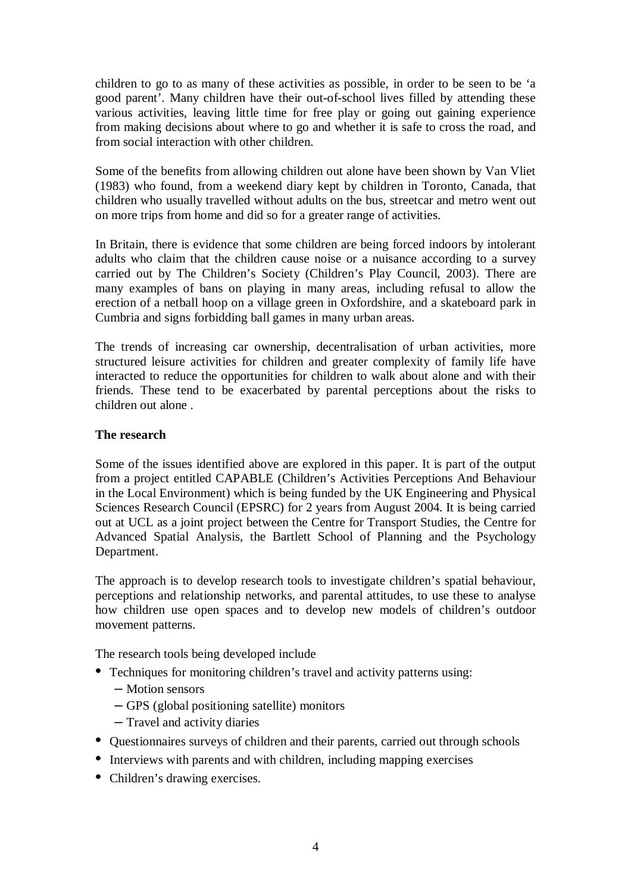children to go to as many of these activities as possible, in order to be seen to be 'a good parent'. Many children have their out-of-school lives filled by attending these various activities, leaving little time for free play or going out gaining experience from making decisions about where to go and whether it is safe to cross the road, and from social interaction with other children.

Some of the benefits from allowing children out alone have been shown by Van Vliet (1983) who found, from a weekend diary kept by children in Toronto, Canada, that children who usually travelled without adults on the bus, streetcar and metro went out on more trips from home and did so for a greater range of activities.

In Britain, there is evidence that some children are being forced indoors by intolerant adults who claim that the children cause noise or a nuisance according to a survey carried out by The Children's Society (Children's Play Council, 2003). There are many examples of bans on playing in many areas, including refusal to allow the erection of a netball hoop on a village green in Oxfordshire, and a skateboard park in Cumbria and signs forbidding ball games in many urban areas.

The trends of increasing car ownership, decentralisation of urban activities, more structured leisure activities for children and greater complexity of family life have interacted to reduce the opportunities for children to walk about alone and with their friends. These tend to be exacerbated by parental perceptions about the risks to children out alone .

## **The research**

Some of the issues identified above are explored in this paper. It is part of the output from a project entitled CAPABLE (Children's Activities Perceptions And Behaviour in the Local Environment) which is being funded by the UK Engineering and Physical Sciences Research Council (EPSRC) for 2 years from August 2004. It is being carried out at UCL as a joint project between the Centre for Transport Studies, the Centre for Advanced Spatial Analysis, the Bartlett School of Planning and the Psychology Department.

The approach is to develop research tools to investigate children's spatial behaviour, perceptions and relationship networks, and parental attitudes, to use these to analyse how children use open spaces and to develop new models of children's outdoor movement patterns.

The research tools being developed include

- Techniques for monitoring children's travel and activity patterns using:
	- Motion sensors
	- GPS (global positioning satellite) monitors
	- Travel and activity diaries
- Ouestionnaires surveys of children and their parents, carried out through schools
- Interviews with parents and with children, including mapping exercises
- Children's drawing exercises.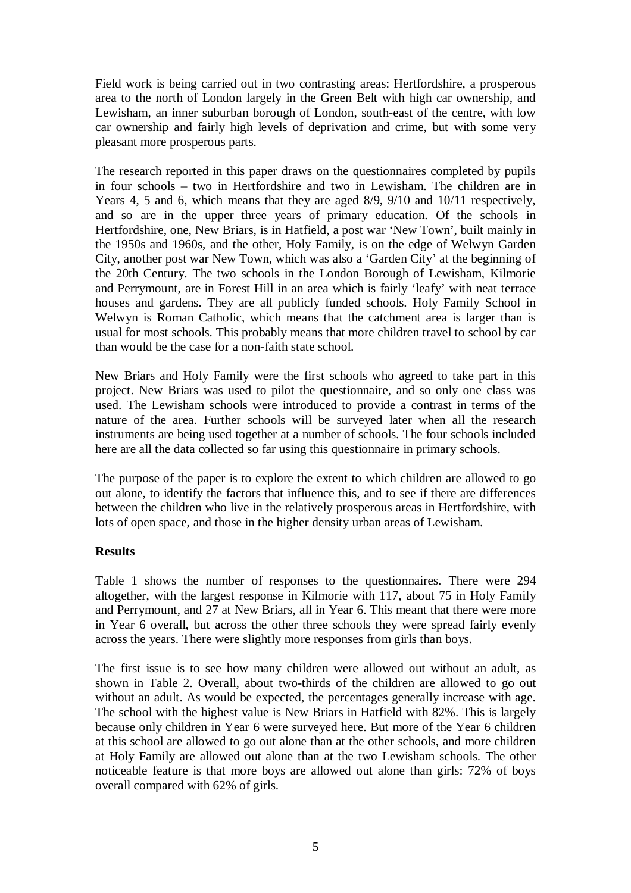Field work is being carried out in two contrasting areas: Hertfordshire, a prosperous area to the north of London largely in the Green Belt with high car ownership, and Lewisham, an inner suburban borough of London, south-east of the centre, with low car ownership and fairly high levels of deprivation and crime, but with some very pleasant more prosperous parts.

The research reported in this paper draws on the questionnaires completed by pupils in four schools – two in Hertfordshire and two in Lewisham. The children are in Years 4, 5 and 6, which means that they are aged 8/9, 9/10 and 10/11 respectively, and so are in the upper three years of primary education. Of the schools in Hertfordshire, one, New Briars, is in Hatfield, a post war 'New Town', built mainly in the 1950s and 1960s, and the other, Holy Family, is on the edge of Welwyn Garden City, another post war New Town, which was also a 'Garden City' at the beginning of the 20th Century. The two schools in the London Borough of Lewisham, Kilmorie and Perrymount, are in Forest Hill in an area which is fairly 'leafy' with neat terrace houses and gardens. They are all publicly funded schools. Holy Family School in Welwyn is Roman Catholic, which means that the catchment area is larger than is usual for most schools. This probably means that more children travel to school by car than would be the case for a non-faith state school.

New Briars and Holy Family were the first schools who agreed to take part in this project. New Briars was used to pilot the questionnaire, and so only one class was used. The Lewisham schools were introduced to provide a contrast in terms of the nature of the area. Further schools will be surveyed later when all the research instruments are being used together at a number of schools. The four schools included here are all the data collected so far using this questionnaire in primary schools.

The purpose of the paper is to explore the extent to which children are allowed to go out alone, to identify the factors that influence this, and to see if there are differences between the children who live in the relatively prosperous areas in Hertfordshire, with lots of open space, and those in the higher density urban areas of Lewisham.

# **Results**

Table 1 shows the number of responses to the questionnaires. There were 294 altogether, with the largest response in Kilmorie with 117, about 75 in Holy Family and Perrymount, and 27 at New Briars, all in Year 6. This meant that there were more in Year 6 overall, but across the other three schools they were spread fairly evenly across the years. There were slightly more responses from girls than boys.

The first issue is to see how many children were allowed out without an adult, as shown in Table 2. Overall, about two-thirds of the children are allowed to go out without an adult. As would be expected, the percentages generally increase with age. The school with the highest value is New Briars in Hatfield with 82%. This is largely because only children in Year 6 were surveyed here. But more of the Year 6 children at this school are allowed to go out alone than at the other schools, and more children at Holy Family are allowed out alone than at the two Lewisham schools. The other noticeable feature is that more boys are allowed out alone than girls: 72% of boys overall compared with 62% of girls.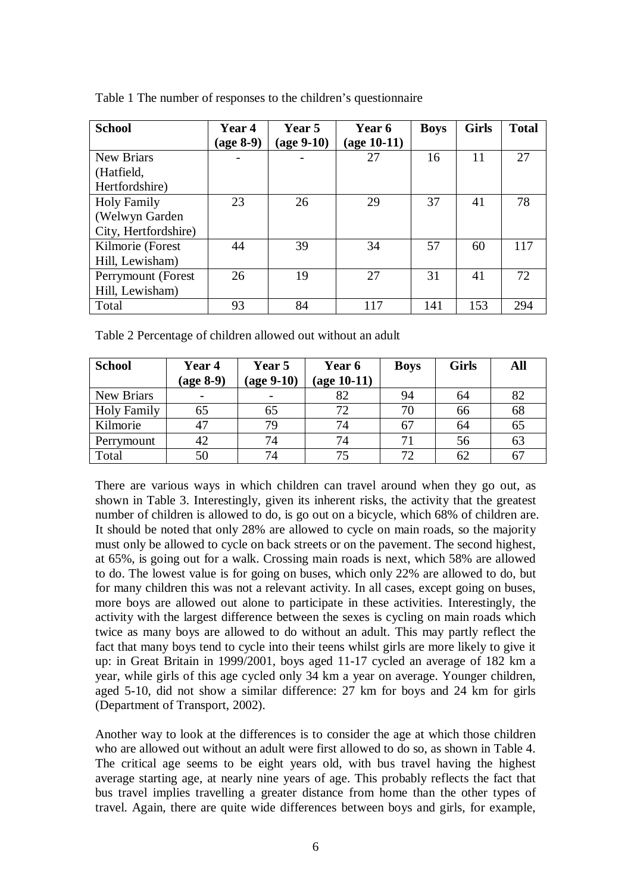| <b>School</b>        | Year 4    | Year 5               | Year 6        | <b>Boys</b> | <b>Girls</b> | <b>Total</b> |
|----------------------|-----------|----------------------|---------------|-------------|--------------|--------------|
|                      | (age 8-9) | $(\text{age } 9-10)$ | $(age 10-11)$ |             |              |              |
| <b>New Briars</b>    |           |                      | 27            | 16          | 11           | 27           |
| (Hatfield,           |           |                      |               |             |              |              |
| Hertfordshire)       |           |                      |               |             |              |              |
| <b>Holy Family</b>   | 23        | 26                   | 29            | 37          | 41           | 78           |
| (Welwyn Garden       |           |                      |               |             |              |              |
| City, Hertfordshire) |           |                      |               |             |              |              |
| Kilmorie (Forest     | 44        | 39                   | 34            | 57          | 60           | 117          |
| Hill, Lewisham)      |           |                      |               |             |              |              |
| Perrymount (Forest   | 26        | 19                   | 27            | 31          | 41           | 72           |
| Hill, Lewisham)      |           |                      |               |             |              |              |
| Total                | 93        | 84                   | 117           | 141         | 153          | 294          |

Table 1 The number of responses to the children's questionnaire

Table 2 Percentage of children allowed out without an adult

| <b>School</b>      | Year 4<br>$(\text{age } 8-9)$ | Year 5<br>$(age 9-10)$ | Year 6<br>$(age 10-11)$ | <b>Boys</b> | <b>Girls</b> | All |
|--------------------|-------------------------------|------------------------|-------------------------|-------------|--------------|-----|
| New Briars         | $\overline{\phantom{0}}$      |                        | 82                      | 94          | 64           | 82  |
| <b>Holy Family</b> | 65                            | 65                     | 72                      | 70          | 66           | 68  |
| Kilmorie           | 47                            | 79                     | 74                      | 67          | 64           | 65  |
| Perrymount         | 42                            | 74                     | 74                      | 71          | 56           | 63  |
| Total              | 50                            | 74                     | 75                      | 72          | 62           | 67  |

There are various ways in which children can travel around when they go out, as shown in Table 3. Interestingly, given its inherent risks, the activity that the greatest number of children is allowed to do, is go out on a bicycle, which 68% of children are. It should be noted that only 28% are allowed to cycle on main roads, so the majority must only be allowed to cycle on back streets or on the pavement. The second highest, at 65%, is going out for a walk. Crossing main roads is next, which 58% are allowed to do. The lowest value is for going on buses, which only 22% are allowed to do, but for many children this was not a relevant activity. In all cases, except going on buses, more boys are allowed out alone to participate in these activities. Interestingly, the activity with the largest difference between the sexes is cycling on main roads which twice as many boys are allowed to do without an adult. This may partly reflect the fact that many boys tend to cycle into their teens whilst girls are more likely to give it up: in Great Britain in 1999/2001, boys aged 11-17 cycled an average of 182 km a year, while girls of this age cycled only 34 km a year on average. Younger children, aged 5-10, did not show a similar difference: 27 km for boys and 24 km for girls (Department of Transport, 2002).

Another way to look at the differences is to consider the age at which those children who are allowed out without an adult were first allowed to do so, as shown in Table 4. The critical age seems to be eight years old, with bus travel having the highest average starting age, at nearly nine years of age. This probably reflects the fact that bus travel implies travelling a greater distance from home than the other types of travel. Again, there are quite wide differences between boys and girls, for example,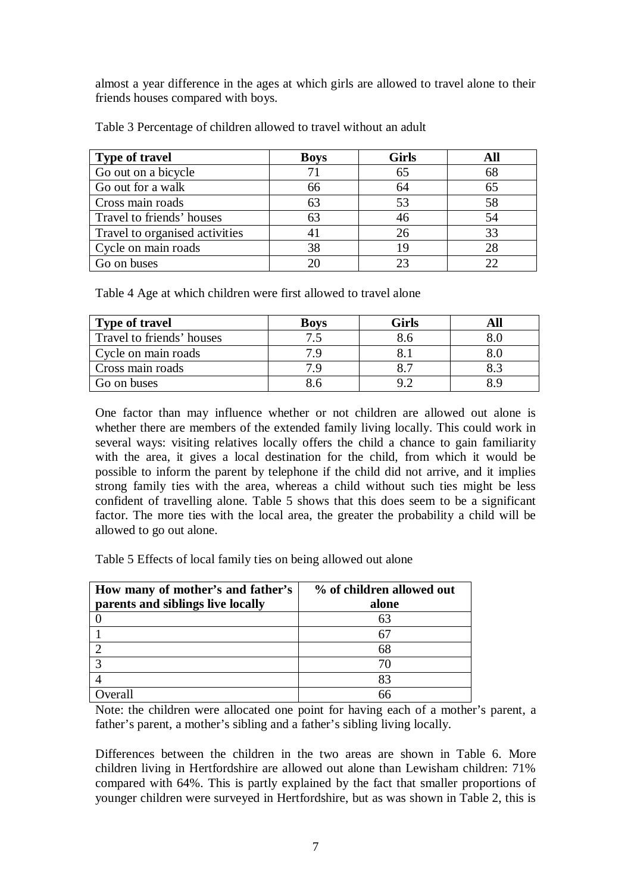almost a year difference in the ages at which girls are allowed to travel alone to their friends houses compared with boys.

| <b>Type of travel</b>          | <b>Boys</b> | <b>Girls</b> |    |
|--------------------------------|-------------|--------------|----|
| Go out on a bicycle            |             | 65           | 68 |
| Go out for a walk              | 66          | 64           | 65 |
| Cross main roads               | 63          | 53           | 58 |
| Travel to friends' houses      |             | 46           | 54 |
| Travel to organised activities |             | 26           | 33 |
| Cycle on main roads            | 38          | 19           |    |
| Go on buses                    |             | 23           |    |

Table 3 Percentage of children allowed to travel without an adult

Table 4 Age at which children were first allowed to travel alone

| <b>Type of travel</b>     | <b>Boys</b> | Girls |  |
|---------------------------|-------------|-------|--|
| Travel to friends' houses |             |       |  |
| Cycle on main roads       |             |       |  |
| Cross main roads          |             |       |  |
| Go on buses               |             |       |  |

One factor than may influence whether or not children are allowed out alone is whether there are members of the extended family living locally. This could work in several ways: visiting relatives locally offers the child a chance to gain familiarity with the area, it gives a local destination for the child, from which it would be possible to inform the parent by telephone if the child did not arrive, and it implies strong family ties with the area, whereas a child without such ties might be less confident of travelling alone. Table 5 shows that this does seem to be a significant factor. The more ties with the local area, the greater the probability a child will be allowed to go out alone.

Table 5 Effects of local family ties on being allowed out alone

| How many of mother's and father's | % of children allowed out |
|-----------------------------------|---------------------------|
| parents and siblings live locally | alone                     |
|                                   |                           |
|                                   |                           |
|                                   |                           |
|                                   |                           |
|                                   |                           |
| <i>v</i> erall                    |                           |

Note: the children were allocated one point for having each of a mother's parent, a father's parent, a mother's sibling and a father's sibling living locally.

Differences between the children in the two areas are shown in Table 6. More children living in Hertfordshire are allowed out alone than Lewisham children: 71% compared with 64%. This is partly explained by the fact that smaller proportions of younger children were surveyed in Hertfordshire, but as was shown in Table 2, this is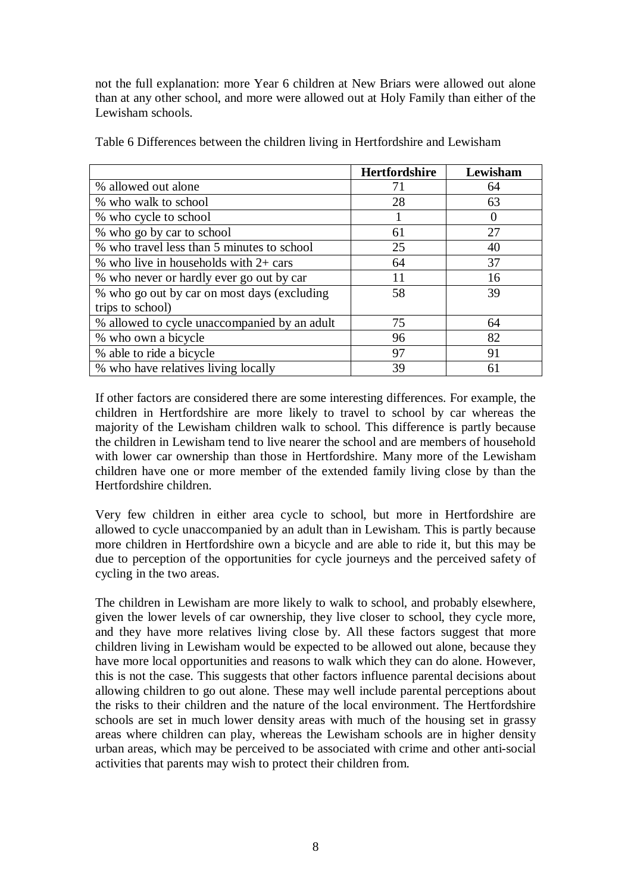not the full explanation: more Year 6 children at New Briars were allowed out alone than at any other school, and more were allowed out at Holy Family than either of the Lewisham schools.

|                                              | <b>Hertfordshire</b> | Lewisham |
|----------------------------------------------|----------------------|----------|
| % allowed out alone                          |                      | 64       |
| % who walk to school                         | 28                   | 63       |
| % who cycle to school                        |                      |          |
| % who go by car to school                    | 61                   | 27       |
| % who travel less than 5 minutes to school   | 25                   | 40       |
| % who live in households with $2+$ cars      | 64                   | 37       |
| % who never or hardly ever go out by car     | 11                   | 16       |
| % who go out by car on most days (excluding  | 58                   | 39       |
| trips to school)                             |                      |          |
| % allowed to cycle unaccompanied by an adult | 75                   | 64       |
| % who own a bicycle                          | 96                   | 82       |
| % able to ride a bicycle                     | 97                   | 91       |
| % who have relatives living locally          | 39                   | 61       |

Table 6 Differences between the children living in Hertfordshire and Lewisham

If other factors are considered there are some interesting differences. For example, the children in Hertfordshire are more likely to travel to school by car whereas the majority of the Lewisham children walk to school. This difference is partly because the children in Lewisham tend to live nearer the school and are members of household with lower car ownership than those in Hertfordshire. Many more of the Lewisham children have one or more member of the extended family living close by than the Hertfordshire children.

Very few children in either area cycle to school, but more in Hertfordshire are allowed to cycle unaccompanied by an adult than in Lewisham. This is partly because more children in Hertfordshire own a bicycle and are able to ride it, but this may be due to perception of the opportunities for cycle journeys and the perceived safety of cycling in the two areas.

The children in Lewisham are more likely to walk to school, and probably elsewhere, given the lower levels of car ownership, they live closer to school, they cycle more, and they have more relatives living close by. All these factors suggest that more children living in Lewisham would be expected to be allowed out alone, because they have more local opportunities and reasons to walk which they can do alone. However, this is not the case. This suggests that other factors influence parental decisions about allowing children to go out alone. These may well include parental perceptions about the risks to their children and the nature of the local environment. The Hertfordshire schools are set in much lower density areas with much of the housing set in grassy areas where children can play, whereas the Lewisham schools are in higher density urban areas, which may be perceived to be associated with crime and other anti-social activities that parents may wish to protect their children from.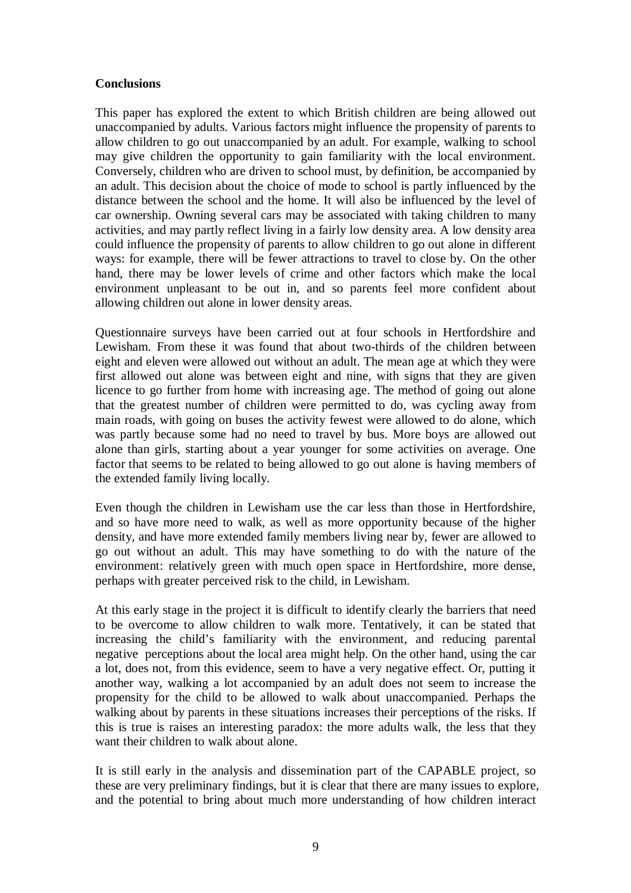#### **Conclusions**

This paper has explored the extent to which British children are being allowed out unaccompanied by adults. Various factors might influence the propensity of parents to allow children to go out unaccompanied by an adult. For example, walking to school may give children the opportunity to gain familiarity with the local environment. Conversely, children who are driven to school must, by definition, be accompanied by an adult. This decision about the choice of mode to school is partly influenced by the distance between the school and the home. It will also be influenced by the level of car ownership. Owning several cars may be associated with taking children to many activities, and may partly reflect living in a fairly low density area. A low density area could influence the propensity of parents to allow children to go out alone in different ways: for example, there will be fewer attractions to travel to close by. On the other hand, there may be lower levels of crime and other factors which make the local environment unpleasant to be out in, and so parents feel more confident about allowing children out alone in lower density areas.

Questionnaire surveys have been carried out at four schools in Hertfordshire and Lewisham. From these it was found that about two-thirds of the children between eight and eleven were allowed out without an adult. The mean age at which they were first allowed out alone was between eight and nine, with signs that they are given licence to go further from home with increasing age. The method of going out alone that the greatest number of children were permitted to do, was cycling away from main roads, with going on buses the activity fewest were allowed to do alone, which was partly because some had no need to travel by bus. More boys are allowed out alone than girls, starting about a year younger for some activities on average. One factor that seems to be related to being allowed to go out alone is having members of the extended family living locally.

Even though the children in Lewisham use the car less than those in Hertfordshire, and so have more need to walk, as well as more opportunity because of the higher density, and have more extended family members living near by, fewer are allowed to go out without an adult. This may have something to do with the nature of the environment: relatively green with much open space in Hertfordshire, more dense, perhaps with greater perceived risk to the child, in Lewisham.

At this early stage in the project it is difficult to identify clearly the barriers that need to be overcome to allow children to walk more. Tentatively, it can be stated that increasing the child's familiarity with the environment, and reducing parental negative perceptions about the local area might help. On the other hand, using the car a lot, does not, from this evidence, seem to have a very negative effect. Or, putting it another way, walking a lot accompanied by an adult does not seem to increase the propensity for the child to be allowed to walk about unaccompanied. Perhaps the walking about by parents in these situations increases their perceptions of the risks. If this is true is raises an interesting paradox: the more adults walk, the less that they want their children to walk about alone.

It is still early in the analysis and dissemination part of the CAPABLE project, so these are very preliminary findings, but it is clear that there are many issues to explore, and the potential to bring about much more understanding of how children interact